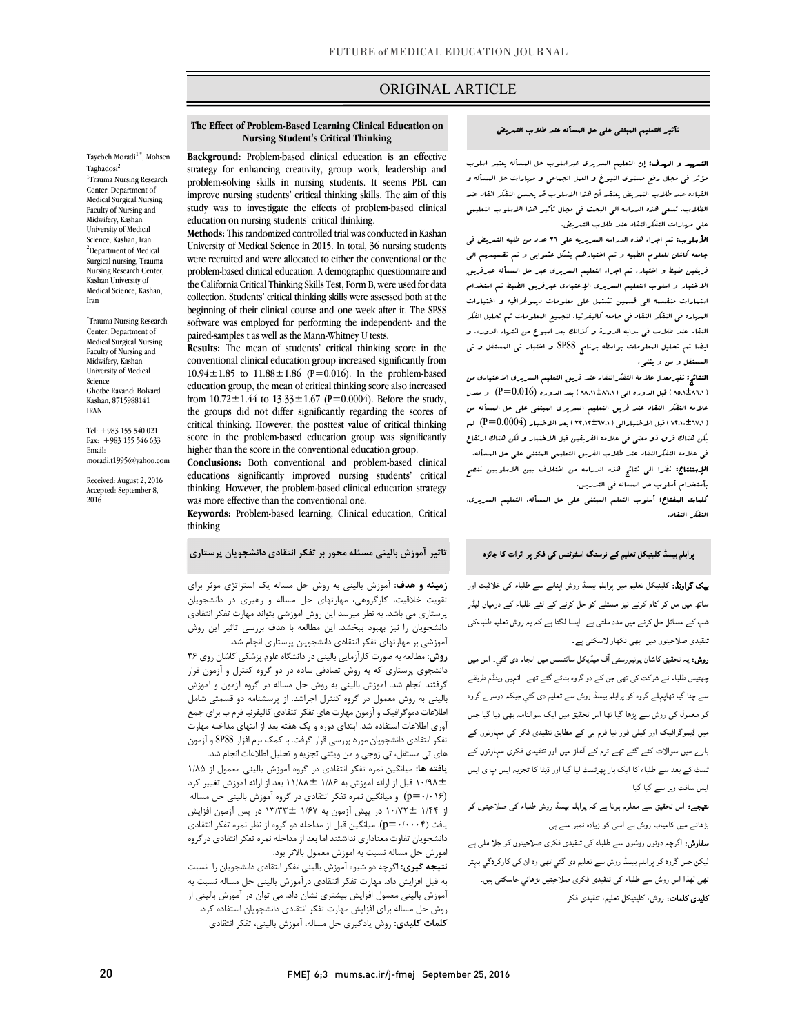# ORIGINAL ARTICLE

#### تأثیر التعلیم المبتنی علی حل المسأله عند طلاب التمریض

ص

 التمهید و الهدف: إن التعلیم السریري عبراسلوب حل المسأله یعتبر اسلوب مؤثر فی مجال رفع مستوي النبوغ و العمل الجماعی و مهارات حل المسأله و الطلاب. تسعی هذه الدراسه الی البحث فی مجال تأثیر هذا الاسلوب التعلیمی علی مهارات التفکرالنقاد عند طلاب التمریض. القیاده عند طلاب التمریض یعتقد أن هذا الاسلوب قد یحسن التفکر انقاد عند

 الأسلوب: تم اجراء هذه الدراسه السریریه علی 36 عدد من طلبه التمریض فی جامعه کاشان للعلوم الطبیه و تم اختیارهم بشکل عشوایی و تم تقسیمهم الی فریقین ضبط و اختبار. تم اجراء التعلیم السریري عبر حل المسأله عبرفریق الاختبار و اسلوب التعلیم السریري الإعتیادي عبرفریق الضبط تم استخدام ۔ مہارہ فی التفکر النقاد فی جامعہ کا کہا ہے ۔ اس کے بھارت کی جامعہ کا کہنا ہے۔<br>البہارہ فی التفکر النقاد فی جامعه کالیفرنیا. لتجمیع الععلومات تم تحلیل الفکر النقاد عند طلاب فی بدایه الدورة و کذالک بعد اسبوع من انتهاء الدوره. و ایضا تم تحلیل المعلومات بواسطه برنامج SPSS و اختبار تی المستقل و تی المستقل و من و یثنی. استمارات منقسمه الی قسمین تشتمل علی معلومات دیموغرافیه و اختبارات

 النتائج: تغیرمعدل علامۀ التفکرالنقاد عند فریق التعلیم السریري الاعتیادي من (۵۹٫۱±۸۹٫۱) قبل الدوره ال<sub>ی</sub> (۵٬۲۰۱±۵۸٫۱) بعد الدوره  $(P=0.016)$  و معدل (0.016 $\pm$  علامه التفکر النقاد عند فریق التعلیم السریري المبتنی علی حل المسأله من یکن هناك فرق ذو معنی فی علامه الفریقین قبل الاختبار و لکن هناك ارتقاع فی علامه التفکرالنقاد عند طلاب الفریق التعلیمی المتتنی علی حل المسأله. الإستنتاج: نظرا الی نتائج هذه الدراسه من اختلاف بین الاسلوبین ننصح ( ٧٢,١٠±٦٧,١) قبل الاختبارال<sub>ی</sub> ( ٣٣,١٣±٦٧,١) بعد الاختبار (P=0.0004) لم

 بأستخدام أسلوب حل المساله فی التدریس. کلمات المفتاح: أسلوب التعلم المبتنی علی حل المسأله، التعلیم السریري، التفکر النقاد.

# **The Effect of Problem-Based Learning Clinical Education on Background:** Problem-based clinical education is an effective **Nursing Student's Critical Thinking**

Ī

Tayebeh Moradi<sup>1,\*</sup>, Mohsen Taghadosi<sup>2</sup> <sup>1</sup>Trauma Nursing Research Center, Department of Medical Surgical Nursing, Faculty of Nursing and Midwifery, Kashan University of Medical Science, Kashan, Iran <sup>2</sup>Department of Medical Surgical nursing, Trauma Nursing Research Center, Kashan University of Medical Science, Kashan, Iran

\* Trauma Nursing Research Center, Department of Medical Surgical Nursing, Faculty of Nursing and Midwifery, Kashan University of Medical Science Ghotbe Ravandi Bolvard Kashan, 8715988141 IRAN

Tel: +983 155 540 021 Fax: +983 155 546 633 Email: moradi.t1995@yahoo.com

Received: August 2, 2016 Accepted: September 8, 2016

 strategy for enhancing creativity, group work, leadership and problem-solving skills in nursing students. It seems PBL can study was to investigate the effects of problem-based clinical education on nursing students' critical thinking. improve nursing students' critical thinking skills. The aim of this

 **Methods:** This randomized controlled trial was conducted in Kashan were recruited and were allocated to either the conventional or the problem-based clinical education. A demographic questionnaire and collection. Students' critical thinking skills were assessed both at the beginning of their clinical course and one week after it. The SPSS software was employed for performing the independent- and the University of Medical Science in 2015. In total, 36 nursing students the California Critical Thinking Skills Test, Form B, were used for data paired-samples t as well as the Mann-Whitney U tests.

 **Results:** The mean of students' critical thinking score in the conventional clinical education group increased significantly from  $10.94 \pm 1.05$  to  $11.00 \pm 1.00$  ( $r = 0.010$ ). In the problem-based education group, the mean of critical thinking score also increased from  $10.72 \pm 1.44$  to  $13.33 \pm 1.67$  (P=0.0004). Before the study, the groups did not differ significantly regarding the scores of score in the problem-based education group was significantly higher than the score in the conventional education group. 10.94 $\pm$ 1.85 to 11.88 $\pm$ 1.86 (P=0.016). In the problem-based critical thinking. However, the posttest value of critical thinking

 **Conclusions:** Both conventional and problem-based clinical thinking. However, the problem-based clinical education strategy was more effective than the conventional one. educations significantly improved nursing students' critical

 **Keywords:** Problem-based learning, Clinical education, Critical thinking

### **تاثیر آموزش بالینی مسئله محور بر تفکر انتقادي دانشجویان پرستاري**

 **زمینه و هدف:** آموزش بالینی به روش حل مساله یک استراتژي موثر براي پرستاري می باشد. به نظر میرسد این روش اموزشی بتواند مهارت تفکر انتقادي دانشجویان را نیز بهبود ببخشد. این مطالعه با هدف بررسی تاثیر این روش آموزشی بر مهارتهاي تفکر انتقادي دانشجویان پرستاري انجام شد. تقویت خلاقیت، کارگروهی، مهارتهاي حل مساله و رهبري در دانشجویان

**روس. من**تقد به صورت ترارهايی بايينی در دانشنده عنوم پرستی تاسان روی ۲۰<br>دانشجوی پرستاری که به روش تصادفی ساده در دو گروه کنترل و آزمون قرار گرفتند انجام شد. آموزش بالینی به روش حل مساله در گروه آزمون و آموزش بالینی به روش معمول در گروه کنترل اجراشد. از پرسشنامه دو قسمتی شامل اطلاعات دموگرافیک و آزمون مهارت هاي تفکر انتقادي کالیفرنیا فرم ب براي جمع .<br>تفکر انتقادي دانشجویان مورد بررسی قرار گرفت. با کمک نرم افزار SPSS و آزمون هاي تی مستقل، تی زوجی و من ویتنی تجزیه و تحلیل اطلاعات انجام شد. **روش:** مطالعه به صورت کارآزمایی بالینی در دانشگاه علوم پزشکی کاشان روي 36 آوري اطلاعات استفاده شد. ابتداي دوره و یک هفته بعد از انتهاي مداخله مهارت

 **یافته ها:** میانگین نمره تفکر انتقادي در گروه آموزش بالینی معمول از 1/85 10/98± قبل از ارائه آموزش به 1/86 11/88± بعد از ارائه آموزش تغییر کرد از 1/44 10/72± در پیش آزمون به 1/67 13/33± در پس آزمون افزایش یافت (p=٠/٠٠٠۴). میانگین قبل از مداخله دو گروه از نظر نمره تفکر انتقادی دانشجویان تفاوت معناداري نداشتند اما بعد از مداخله نمره تفکر انتقادي درگروه اموزش حل مساله نسبت به اموزش معمول بالاتر بود. (0/016=p (و میانگین نمره تفکر انتقادي در گروه آموزش بالینی حل مساله

 به قبل افزایش داد. مهارت تفکر انتقادي درآموزش بالینی حل مساله نسبت به آموزش بالینی معمول افزایش بیشتري نشان داد. می توان در آموزش بالینی از روش حل مساله براي افزایش مهارت تفکر انتقادي دانشجویان استفاده کرد. **کلمات کلیدي:** روش یادگیري حل مساله، آموزش بالینی، تفکر انتقادي **نتیجه گیري:** اگرچه دو شیوه آموزش بالینی تفکر انتقادي دانشجویان را نسبت پرابلم بیسڈ کلینیکل تعلیم کے نرسنگ اسٹوٹنس کی فکر پر اثرات کا جائزہ

 او: ا روش ا ء اور ساتھ میں مل کر کام کرنے نیز مسئلے کو حل کرنے کے لئے طلباء کے درمیاں لیڈر<br>۔ شپ کے مسائل حل کرنے میں مدد ملتی ہے۔ ایسا لگتا ہے کہ یہ روش تعلیم طلباءکی تنقیدی صلاحیتوں میں بھی نکھار لاسکتی ہے۔

**روش:** یہ تحقیق کاشان یونیورسٹی آف میڈیکل سائنسس میں انجام دی گئي۔ اس میں چھتیس طلباء نے شرکت کی تھی جن کے دو گروہ بنائے گئے تھے۔ انہیں رینڈم طریقے سے چنا گیا تھاپہلے گروہ کو پرابلم بیسڈ روش سے تعلیم دی گئي جبکہ دوسرے گروہ کو معمول کی روش سے پڑھا گیا تھا اس تحقیق میں ایک سوالنامہ بھی دیا گیا جس میں ڈیموگرافیک اور کیلی فور نیا فرم بی کے مطابق تنقیدی فکر کی مہارتوں کے بار<sub>ے</sub> میں سوالات کئے گئے تھے۔ٹرم کے آغاز میں اور تنقیدی فکری مہارتوں کے ٹسٹ کے بعد سے طلباء کا ایک بار پھرٹسٹ لیا گیا اور ڈیٹا کا تجزیہ ایس پ ی ایس ایس سافٹ ویر سے گیا گیا

**نتیجے:** اس تحقیق سے معلوم ہوتا ہے کہ پرابلم بیسڈ روش طلباء کی صلاحیتوں کو بڑھانے میں کامیاب روش ہے اسی کو زیادہ نمبر ملے ہی۔

**سفارش:** اگرچہ دونوں روشوں سے طلباء کی تنقیدی فکری صلاحیتوں کو جلا ملی ہے لیکن جس گروہ کو پرابلم بیسڈ روش سے تعلیم دی گئي تھی وہ ان کی کارکردگي بہتر ۔<br>تھی لھذا اس روش سے طلباء کی تنقیدی فکری صلاحیتیں بڑھائی جاسکتی ہیں۔ **کلیدی کلمات:** روش، کلینیکل تعلیم، تنقیدی فکر <sub>-</sub>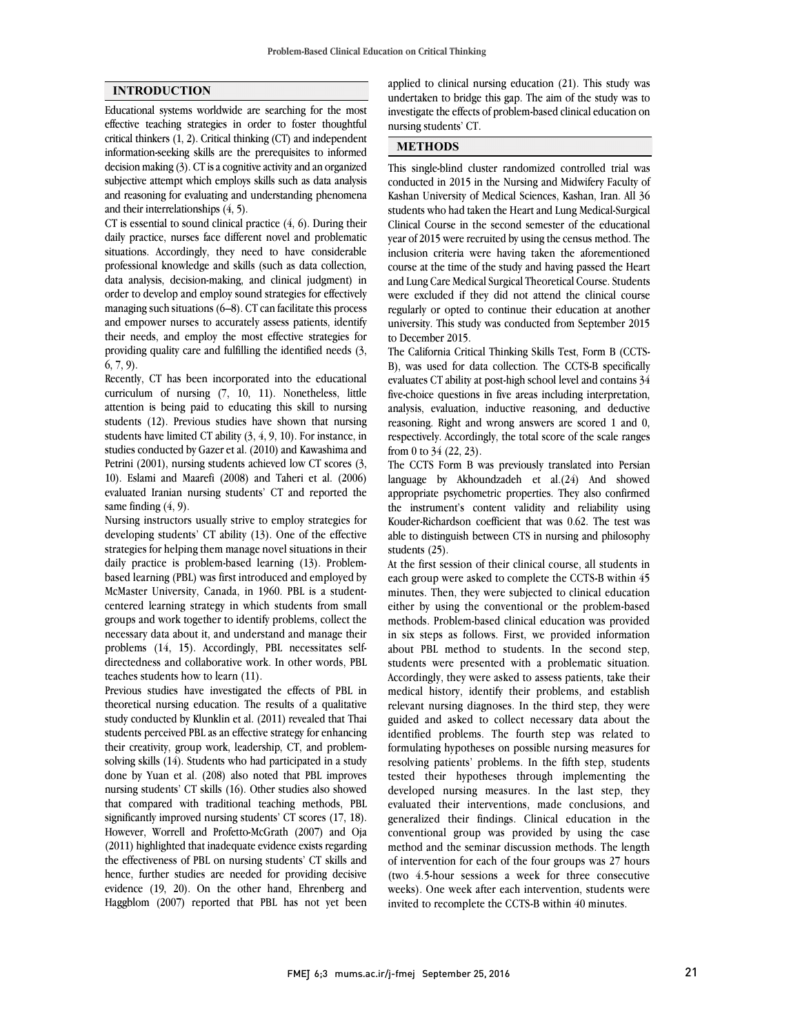### **INTRODUCTION**

Educational systems worldwide are searching for the most effective teaching strategies in order to foster thoughtful critical thinkers (1, 2). Critical thinking (CT) and independent information-seeking skills are the prerequisites to informed decision making (3). CT is a cognitive activity and an organized subjective attempt which employs skills such as data analysis and reasoning for evaluating and understanding phenomena and their interrelationships (4, 5).

CT is essential to sound clinical practice (4, 6). During their daily practice, nurses face different novel and problematic situations. Accordingly, they need to have considerable professional knowledge and skills (such as data collection, data analysis, decision-making, and clinical judgment) in order to develop and employ sound strategies for effectively managing such situations (6–8). CT can facilitate this process and empower nurses to accurately assess patients, identify their needs, and employ the most effective strategies for providing quality care and fulfilling the identified needs (3, 6, 7, 9).

Recently, CT has been incorporated into the educational curriculum of nursing (7, 10, 11). Nonetheless, little attention is being paid to educating this skill to nursing students (12). Previous studies have shown that nursing students have limited CT ability (3, 4, 9, 10). For instance, in studies conducted by Gazer et al. (2010) and Kawashima and Petrini (2001), nursing students achieved low CT scores (3, 10). Eslami and Maarefi (2008) and Taheri et al. (2006) evaluated Iranian nursing students' CT and reported the same finding  $(4, 9)$ .

Nursing instructors usually strive to employ strategies for developing students' CT ability (13). One of the effective strategies for helping them manage novel situations in their daily practice is problem-based learning (13). Problembased learning (PBL) was first introduced and employed by McMaster University, Canada, in 1960. PBL is a studentcentered learning strategy in which students from small groups and work together to identify problems, collect the necessary data about it, and understand and manage their problems (14, 15). Accordingly, PBL necessitates selfdirectedness and collaborative work. In other words, PBL teaches students how to learn (11).

Previous studies have investigated the effects of PBL in theoretical nursing education. The results of a qualitative study conducted by Klunklin et al. (2011) revealed that Thai students perceived PBL as an effective strategy for enhancing their creativity, group work, leadership, CT, and problemsolving skills (14). Students who had participated in a study done by Yuan et al. (208) also noted that PBL improves nursing students' CT skills (16). Other studies also showed that compared with traditional teaching methods, PBL significantly improved nursing students' CT scores (17, 18). However, Worrell and Profetto-McGrath (2007) and Oja (2011) highlighted that inadequate evidence exists regarding the effectiveness of PBL on nursing students' CT skills and hence, further studies are needed for providing decisive evidence (19, 20). On the other hand, Ehrenberg and Haggblom (2007) reported that PBL has not yet been  applied to clinical nursing education (21). This study was undertaken to bridge this gap. The aim of the study was to investigate the effects of problem-based clinical education on nursing students' CT.

# **METHODS**

 This single-blind cluster randomized controlled trial was conducted in 2015 in the Nursing and Midwifery Faculty of Kashan University of Medical Sciences, Kashan, Iran. All 36 Clinical Course in the second semester of the educational year of 2015 were recruited by using the census method. The inclusion criteria were having taken the aforementioned course at the time of the study and having passed the Heart were excluded if they did not attend the clinical course regularly or opted to continue their education at another university. This study was conducted from September 2015 to December 2015. students who had taken the Heart and Lung Medical-Surgical and Lung Care Medical Surgical Theoretical Course. Students

 B), was used for data collection. The CCTS-B specifically evaluates CT ability at post-high school level and contains 34 five-choice questions in five areas including interpretation, analysis, evaluation, inductive reasoning, and deductive respectively. Accordingly, the total score of the scale ranges from 0 to 34 (22, 23). The California Critical Thinking Skills Test, Form B (CCTSreasoning. Right and wrong answers are scored 1 and 0,

 The CCTS Form B was previously translated into Persian anguage by Akhoundzaden et  $a/(2+1)$  and showed<br>appropriate psychometric properties. They also confirmed the instrument's content validity and reliability using Kouder-Richardson coefficient that was 0.62. The test was able to distinguish between CTS in nursing and philosophy students (25). language by Akhoundzadeh et al.(24) And showed

 each group were asked to complete the CCTS-B within 45 minutes. Then, they were subjected to clinical education either by using the conventional or the problem-based in six steps as follows. First, we provided information about PBL method to students. In the second step, students were presented with a problematic situation. Accordingly, they were asked to assess patients, take their relevant nursing diagnoses. In the third step, they were guided and asked to collect necessary data about the identified problems. The fourth step was related to formulating hypotheses on possible nursing measures for tested their hypotheses through implementing the developed nursing measures. In the last step, they evaluated their interventions, made conclusions, and generalized their findings. Clinical education in the method and the seminar discussion methods. The length of intervention for each of the four groups was 27 hours (two 4.5-hour sessions a week for three consecutive weeks). One week after each intervention, students were invited to recomplete the CCTS-B within 40 minutes. At the first session of their clinical course, all students in methods. Problem-based clinical education was provided medical history, identify their problems, and establish resolving patients' problems. In the fifth step, students conventional group was provided by using the case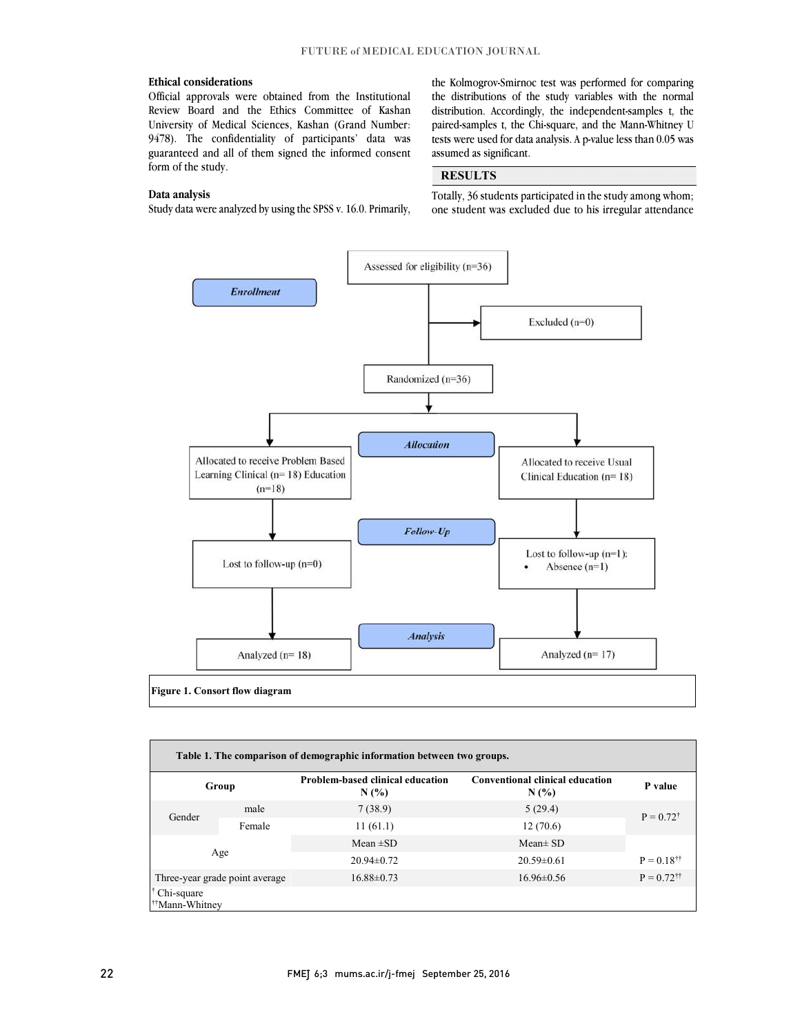### **Ethical considerations**

 Official approvals were obtained from the Institutional Review Board and the Ethics Committee of Kashan 9478). The confidentiality of participants' data was guaranteed and all of them signed the informed consent University of Medical Sciences, Kashan (Grand Number: form of the study.

#### **Data analysis**

j Study data were analyzed by using the SPSS v. 16.0. Primarily,

 the Kolmogrov-Smirnoc test was performed for comparing the distributions of the study variables with the normal distribution. Accordingly, the independent-samples t, the paired-samples t, the Chi-square, and the Mann-Whitney U tests were used for data analysis. A p-value less than 0.05 was assumed as significant.

## **RESULTS**

 Totally, 36 students participated in the study among whom; one student was excluded due to his irregular attendance

 $\overline{a}$  $\overline{a}$ 



| Table 1. The comparison of demographic information between two groups. |        |                                                 |                                                   |                             |  |  |
|------------------------------------------------------------------------|--------|-------------------------------------------------|---------------------------------------------------|-----------------------------|--|--|
| Group                                                                  |        | <b>Problem-based clinical education</b><br>N(%) | <b>Conventional clinical education</b><br>$N(\%)$ | P value                     |  |  |
| Gender                                                                 | male   | 7(38.9)                                         | 5(29.4)                                           | $P = 0.72^{\dagger}$        |  |  |
|                                                                        | Female | 11(61.1)                                        | 12(70.6)                                          |                             |  |  |
|                                                                        |        | Mean $\pm$ SD                                   | $Mean \pm SD$                                     |                             |  |  |
|                                                                        | Age    | $20.94 \pm 0.72$                                | $20.59 \pm 0.61$                                  | $P = 0.18^{\dagger\dagger}$ |  |  |
| Three-year grade point average                                         |        | $16.88 \pm 0.73$                                | $16.96 \pm 0.56$                                  | $P = 0.72$ <sup>††</sup>    |  |  |
| Chi-square<br><sup>††</sup> Mann-Whitnev                               |        |                                                 |                                                   |                             |  |  |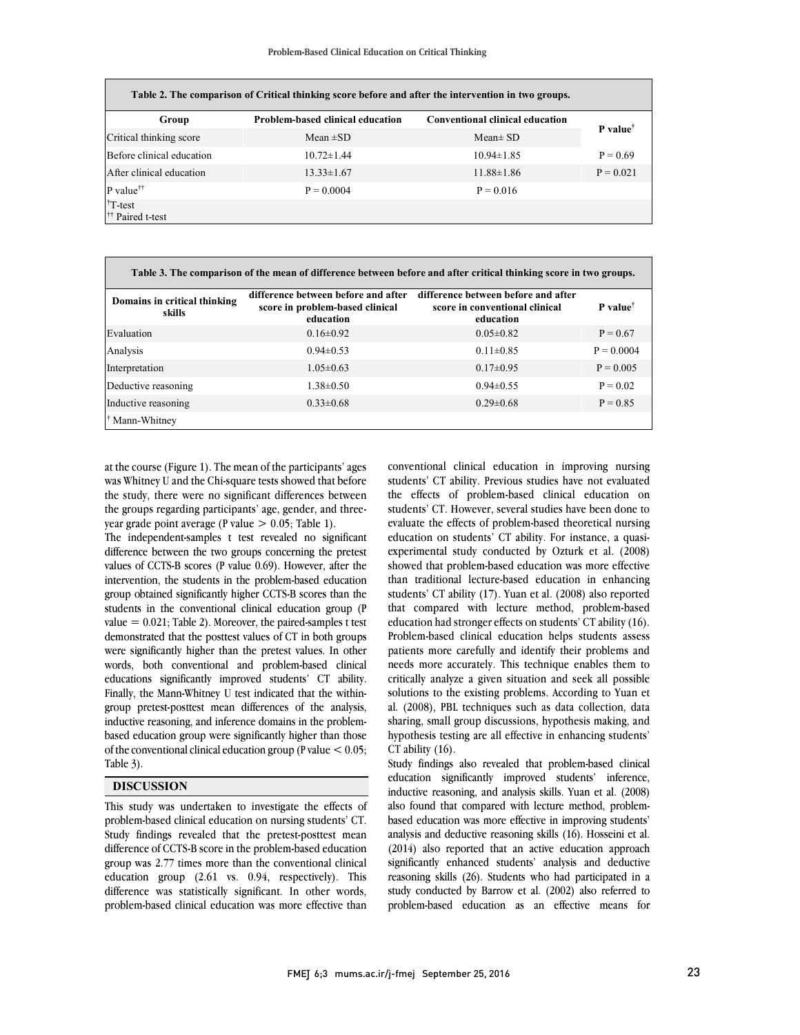| Table 2. The comparison of Critical thinking score before and after the intervention in two groups. |                                         |                                        |                      |  |  |  |
|-----------------------------------------------------------------------------------------------------|-----------------------------------------|----------------------------------------|----------------------|--|--|--|
| Group                                                                                               | <b>Problem-based clinical education</b> | <b>Conventional clinical education</b> |                      |  |  |  |
| Critical thinking score                                                                             | Mean $\pm SD$                           | $Mean \pm SD$                          | P value <sup>†</sup> |  |  |  |
| Before clinical education                                                                           | $10.72 \pm 1.44$                        | $10.94 \pm 1.85$                       | $P = 0.69$           |  |  |  |
| After clinical education                                                                            | $13.33 \pm 1.67$                        | $11.88 \pm 1.86$                       | $P = 0.021$          |  |  |  |
| $P$ value <sup><math>\dagger\dagger</math></sup>                                                    | $P = 0.0004$                            | $P = 0.016$                            |                      |  |  |  |
| $†T-test$<br><sup>††</sup> Paired t-test                                                            |                                         |                                        |                      |  |  |  |

| Table 3. The comparison of the mean of difference between before and after critical thinking score in two groups. |                                                                                     |                                                                                    |                        |  |  |  |
|-------------------------------------------------------------------------------------------------------------------|-------------------------------------------------------------------------------------|------------------------------------------------------------------------------------|------------------------|--|--|--|
| Domains in critical thinking<br>skills                                                                            | difference between before and after<br>score in problem-based clinical<br>education | difference between before and after<br>score in conventional clinical<br>education | $P$ value <sup>†</sup> |  |  |  |
| Evaluation                                                                                                        | $0.16 \pm 0.92$                                                                     | $0.05 \pm 0.82$                                                                    | $P = 0.67$             |  |  |  |
| Analysis                                                                                                          | $0.94 \pm 0.53$                                                                     | $0.11 \pm 0.85$                                                                    | $P = 0.0004$           |  |  |  |
| Interpretation                                                                                                    | $1.05 \pm 0.63$                                                                     | $0.17 \pm 0.95$                                                                    | $P = 0.005$            |  |  |  |
| Deductive reasoning                                                                                               | $1.38 \pm 0.50$                                                                     | $0.94 \pm 0.55$                                                                    | $P = 0.02$             |  |  |  |
| Inductive reasoning                                                                                               | $0.33 \pm 0.68$                                                                     | $0.29 \pm 0.68$                                                                    | $P = 0.85$             |  |  |  |
| <sup>†</sup> Mann-Whitney                                                                                         |                                                                                     |                                                                                    |                        |  |  |  |

l

at the course (Figure 1). The mean of the participants' ages was Whitney U and the Chi-square tests showed that before the study, there were no significant differences between the groups regarding participants' age, gender, and threeyear grade point average (P value  $> 0.05$ ; Table 1).

The independent-samples t test revealed no significant difference between the two groups concerning the pretest values of CCTS-B scores (P value 0.69). However, after the intervention, the students in the problem-based education group obtained significantly higher CCTS-B scores than the students in the conventional clinical education group (P value  $= 0.021$ ; Table 2). Moreover, the paired-samples t test demonstrated that the posttest values of CT in both groups were significantly higher than the pretest values. In other words, both conventional and problem-based clinical educations significantly improved students' CT ability. Finally, the Mann-Whitney U test indicated that the withingroup pretest-posttest mean differences of the analysis, inductive reasoning, and inference domains in the problembased education group were significantly higher than those of the conventional clinical education group (P value < 0.05; Table 3).

### **DISCUSSION**

This study was undertaken to investigate the effects of problem-based clinical education on nursing students' CT. Study findings revealed that the pretest-posttest mean difference of CCTS-B score in the problem-based education group was 2.77 times more than the conventional clinical education group (2.61 vs. 0.94, respectively). This difference was statistically significant. In other words, problem-based clinical education was more effective than

 conventional clinical education in improving nursing students' CT ability. Previous studies have not evaluated students' CT. However, several studies have been done to evaluate the effects of problem-based theoretical nursing education on students' CT ability. For instance, a quasi- experimental study conducted by Ozturk et al. (2008) than traditional lecture-based education in enhancing students' CT ability (17). Yuan et al. (2008) also reported that compared with lecture method, problem-based education had stronger effects on students' CT ability (16). patients more carefully and identify their problems and needs more accurately. This technique enables them to critically analyze a given situation and seek all possible solutions to the existing problems. According to Yuan et sharing, small group discussions, hypothesis making, and hypothesis testing are all effective in enhancing students' CT ability (16). the effects of problem-based clinical education on showed that problem-based education was more effective Problem-based clinical education helps students assess al. (2008), PBL techniques such as data collection, data

 education significantly improved students' inference, inductive reasoning, and analysis skills. Yuan et al. (2008) also found that compared with lecture method, problem- based education was more effective in improving students' analysis and deductive reasoning skills (16). Hosseini et al. Study findings also revealed that problem-based clinical (2014) also reported that an active education approach significantly enhanced students' analysis and deductive reasoning skills (26). Students who had participated in a study conducted by Barrow et al. (2002) also referred to problem-based education as an effective means for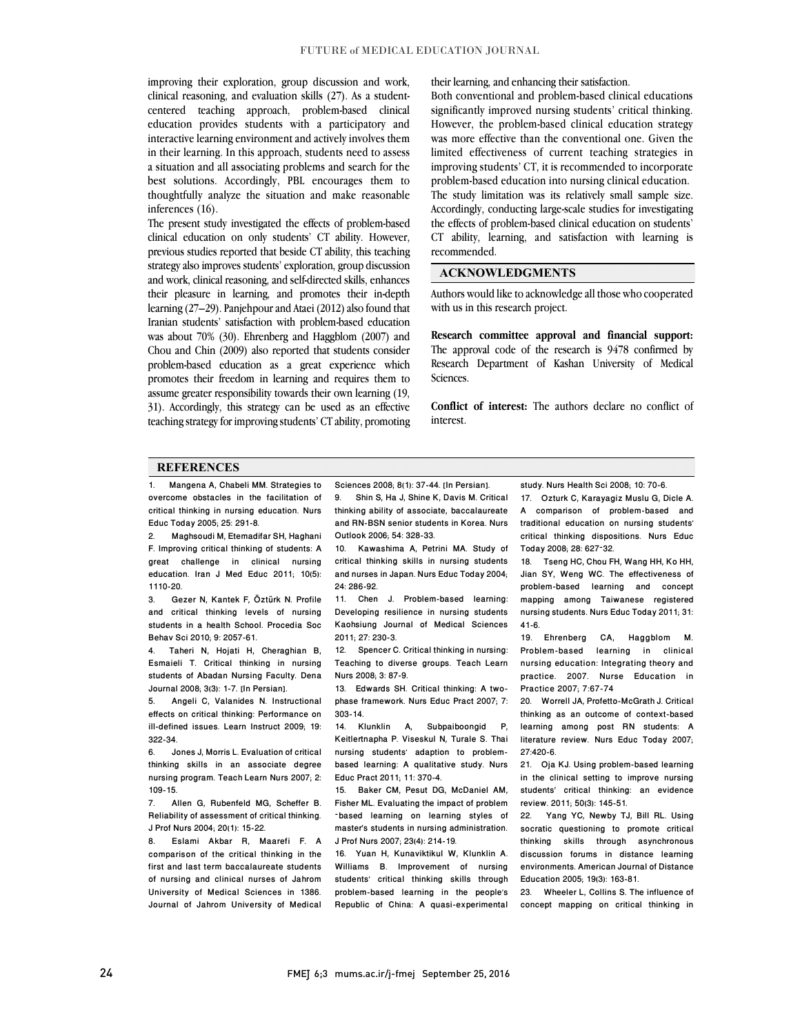improving their exploration, group discussion and work, clinical reasoning, and evaluation skills (27). As a studentcentered teaching approach, problem-based clinical education provides students with a participatory and interactive learning environment and actively involves them in their learning. In this approach, students need to assess a situation and all associating problems and search for the best solutions. Accordingly, PBL encourages them to thoughtfully analyze the situation and make reasonable inferences (16).

The present study investigated the effects of problem-based clinical education on only students' CT ability. However, previous studies reported that beside CT ability, this teaching strategy also improves students' exploration, group discussion and work, clinical reasoning, and self-directed skills, enhances their pleasure in learning, and promotes their in-depth learning (27–29). Panjehpour and Ataei (2012) also found that Iranian students' satisfaction with problem-based education was about 70% (30). Ehrenberg and Haggblom (2007) and Chou and Chin (2009) also reported that students consider problem-based education as a great experience which promotes their freedom in learning and requires them to assume greater responsibility towards their own learning (19, 31). Accordingly, this strategy can be used as an effective teaching strategy for improving students' CT ability, promoting their learning, and enhancing their satisfaction.

Both conventional and problem-based clinical educations significantly improved nursing students' critical thinking. However, the problem-based clinical education strategy was more effective than the conventional one. Given the limited effectiveness of current teaching strategies in improving students' CT, it is recommended to incorporate problem-based education into nursing clinical education. The study limitation was its relatively small sample size. Accordingly, conducting large-scale studies for investigating the effects of problem-based clinical education on students' CT ability, learning, and satisfaction with learning is recommended.

## **ACKNOWLEDGMENTS**

Authors would like to acknowledge all those who cooperated with us in this research project.

**Research committee approval and financial support:** The approval code of the research is 9478 confirmed by Research Department of Kashan University of Medical Sciences.

**Conflict of interest:** The authors declare no conflict of interest.

# **REFERENCES**

1. Mangena A, Chabeli MM. Strategies to overcome obstacles in the facilitation of critical thinking in nursing education. Nurs Educ Today 2005; 25: 291-8.

2. Maghsoudi M, Etemadifar SH, Haghani F. Improving critical thinking of students: A great challenge in clinical nursing education. Iran J Med Educ 2011; 10(5): 1110-20.

3. Gezer N, Kantek F, Öztürk N. Profile and critical thinking levels of nursing students in a health School. Procedia Soc Behav Sci 2010; 9: 2057-61.

4. Taheri N, Hojati H, Cheraghian B, Esmaieli T. Critical thinking in nursing students of Abadan Nursing Faculty. Dena Journal 2008; 3(3): 1-7. [In Persian].

5. Angeli C, Valanides N. Instructional effects on critical thinking: Performance on ill-defined issues. Learn Instruct 2009; 19: 322-34.

6. Jones J, Morris L. Evaluation of critical thinking skills in an associate degree nursing program. Teach Learn Nurs 2007; 2: 109-15.

7. Allen G, Rubenfeld MG, Scheffer B. Reliability of assessment of critical thinking. J Prof Nurs 2004; 20(1): 15-22.

8. Eslami Akbar R, Maarefi F. A comparison of the critical thinking in the first and last term baccalaureate students of nursing and clinical nurses of Jahrom University of Medical Sciences in 1386. Journal of Jahrom University of Medical Sciences 2008: 8(1): 37-44. [In Persian].

9. Shin S, Ha J, Shine K, Davis M. Critical thinking ability of associate, baccalaureate and RN-BSN senior students in Korea. Nurs Outlook 2006; 54: 328-33.

10. Kawashima A, Petrini MA. Study of critical thinking skills in nursing students and nurses in Japan. Nurs Educ Today 2004; 24: 286-92.

11. Chen J. Problem-based learning: Developing resilience in nursing students Kaohsiung Journal of Medical Sciences 2011; 27: 230-3.

12. Spencer C. Critical thinking in nursing: Teaching to diverse groups. Teach Learn Nurs 2008; 3: 87-9.

13. Edwards SH. Critical thinking: A twophase framework. Nurs Educ Pract 2007; 7: 303-14.

14. Klunklin A, Subpaiboongid P, Keitlertnapha P. Viseskul N, Turale S. Thai nursing students' adaption to problembased learning: A qualitative study. Nurs Educ Pract 2011; 11: 370-4.

15. Baker CM, Pesut DG, McDaniel AM, Fisher ML. Evaluating the impact of problem –based learning on learning styles of master's students in nursing administration. J Prof Nurs 2007; 23(4): 214-19.

16. Yuan H, Kunaviktikul W, Klunklin A. Williams B. Improvement of nursing students' critical thinking skills through problem-based learning in the people's Republic of China: A quasi-experimental study. Nurs Health Sci 2008; 10: 70-6.

17. Ozturk C, Karayagiz Muslu G, Dicle A. A comparison of problem-based and traditional education on nursing students' critical thinking dispositions. Nurs Educ Today 2008; 28: 627–32.

18. Tseng HC, Chou FH, Wang HH, Ko HH, Jian SY, Weng WC. The effectiveness of problem-based learning and concept mapping among Taiwanese registered nursing students. Nurs Educ Today 2011; 31: 41-6.

19. Ehrenberg CA, Haggblom M. Problem-based learning in clinical nursing education: Integrating theory and practice. 2007. Nurse Education in Practice 2007; 7:67-74

20. Worrell JA, Profetto-McGrath J. Critical thinking as an outcome of context-based learning among post RN students: A literature review. Nurs Educ Today 2007; 27:420-6.

21. Oja KJ. Using problem-based learning in the clinical setting to improve nursing students' critical thinking: an evidence review. 2011; 50(3): 145-51.

22. Yang YC, Newby TJ, Bill RL. Using socratic questioning to promote critical thinking skills through asynchronous discussion forums in distance learning environments. American Journal of Distance Education 2005; 19(3): 163-81.

23. Wheeler L, Collins S. The influence of concept mapping on critical thinking in